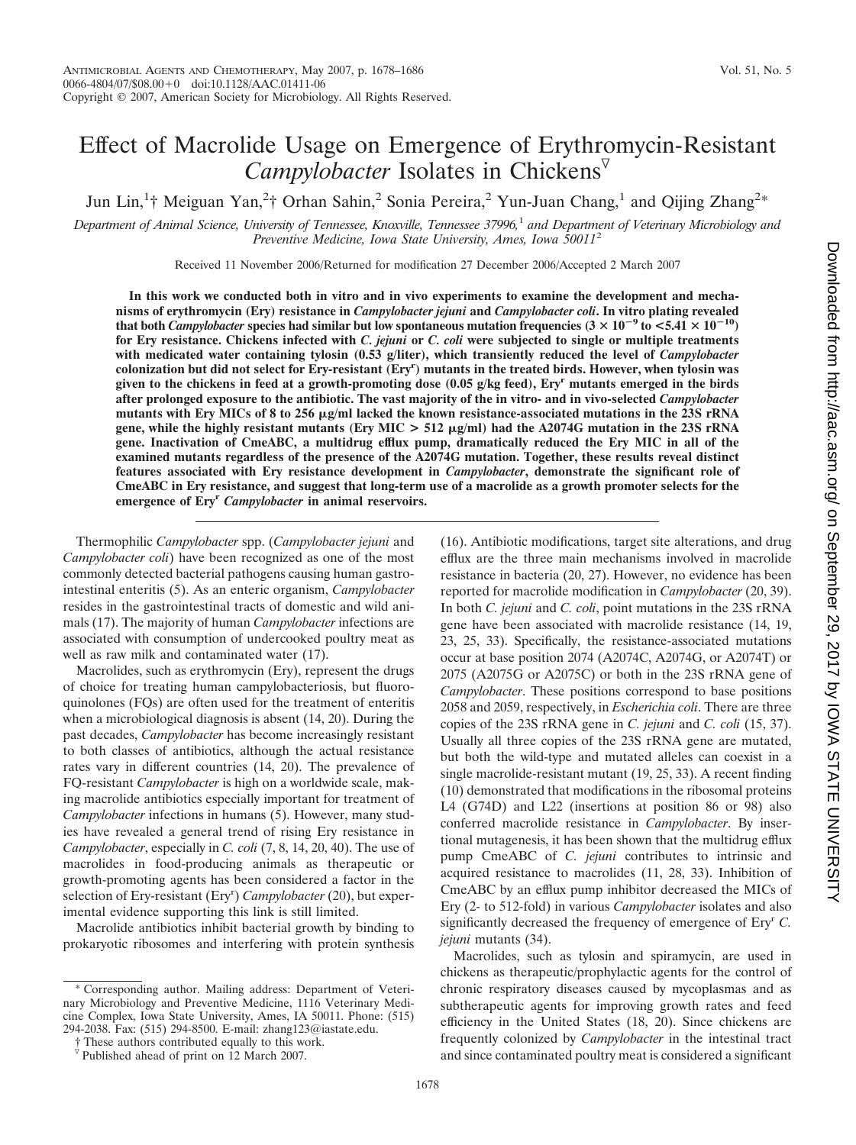# Effect of Macrolide Usage on Emergence of Erythromycin-Resistant *Campylobacter* Isolates in Chickens

Jun Lin,<sup>1</sup>† Meiguan Yan,<sup>2</sup>† Orhan Sahin,<sup>2</sup> Sonia Pereira,<sup>2</sup> Yun-Juan Chang,<sup>1</sup> and Qijing Zhang<sup>2\*</sup>

*Department of Animal Science, University of Tennessee, Knoxville, Tennessee 37996,*<sup>1</sup> *and Department of Veterinary Microbiology and Preventive Medicine, Iowa State University, Ames, Iowa 50011*<sup>2</sup>

Received 11 November 2006/Returned for modification 27 December 2006/Accepted 2 March 2007

**In this work we conducted both in vitro and in vivo experiments to examine the development and mechanisms of erythromycin (Ery) resistance in** *Campylobacter jejuni* **and** *Campylobacter coli***. In vitro plating revealed** that both *Campylobacter* species had similar but low spontaneous mutation frequencies  $(3 \times 10^{-9}$  to  $\lt 5.41 \times 10^{-10})$ **for Ery resistance. Chickens infected with** *C. jejuni* **or** *C. coli* **were subjected to single or multiple treatments with medicated water containing tylosin (0.53 g/liter), which transiently reduced the level of** *Campylobacter* **colonization but did not select for Ery-resistant (Eryr ) mutants in the treated birds. However, when tylosin was given to the chickens in feed at a growth-promoting dose (0.05 g/kg feed), Eryr mutants emerged in the birds after prolonged exposure to the antibiotic. The vast majority of the in vitro- and in vivo-selected** *Campylobacter* **mutants with Ery MICs of 8 to 256 g/ml lacked the known resistance-associated mutations in the 23S rRNA gene, while the highly resistant mutants (Ery MIC > 512 g/ml) had the A2074G mutation in the 23S rRNA gene. Inactivation of CmeABC, a multidrug efflux pump, dramatically reduced the Ery MIC in all of the examined mutants regardless of the presence of the A2074G mutation. Together, these results reveal distinct features associated with Ery resistance development in** *Campylobacter***, demonstrate the significant role of CmeABC in Ery resistance, and suggest that long-term use of a macrolide as a growth promoter selects for the emergence of Eryr** *Campylobacter* **in animal reservoirs.**

Thermophilic *Campylobacter* spp. (*Campylobacter jejuni* and *Campylobacter coli*) have been recognized as one of the most commonly detected bacterial pathogens causing human gastrointestinal enteritis (5). As an enteric organism, *Campylobacter* resides in the gastrointestinal tracts of domestic and wild animals (17). The majority of human *Campylobacter* infections are associated with consumption of undercooked poultry meat as well as raw milk and contaminated water (17).

Macrolides, such as erythromycin (Ery), represent the drugs of choice for treating human campylobacteriosis, but fluoroquinolones (FQs) are often used for the treatment of enteritis when a microbiological diagnosis is absent (14, 20). During the past decades, *Campylobacter* has become increasingly resistant to both classes of antibiotics, although the actual resistance rates vary in different countries (14, 20). The prevalence of FQ-resistant *Campylobacter* is high on a worldwide scale, making macrolide antibiotics especially important for treatment of *Campylobacter* infections in humans (5). However, many studies have revealed a general trend of rising Ery resistance in *Campylobacter*, especially in *C. coli* (7, 8, 14, 20, 40). The use of macrolides in food-producing animals as therapeutic or growth-promoting agents has been considered a factor in the selection of Ery-resistant (Ery<sup>r</sup>) *Campylobacter* (20), but experimental evidence supporting this link is still limited.

Macrolide antibiotics inhibit bacterial growth by binding to prokaryotic ribosomes and interfering with protein synthesis (16). Antibiotic modifications, target site alterations, and drug efflux are the three main mechanisms involved in macrolide resistance in bacteria (20, 27). However, no evidence has been reported for macrolide modification in *Campylobacter* (20, 39). In both *C. jejuni* and *C. coli*, point mutations in the 23S rRNA gene have been associated with macrolide resistance (14, 19, 23, 25, 33). Specifically, the resistance-associated mutations occur at base position 2074 (A2074C, A2074G, or A2074T) or 2075 (A2075G or A2075C) or both in the 23S rRNA gene of *Campylobacter*. These positions correspond to base positions 2058 and 2059, respectively, in *Escherichia coli*. There are three copies of the 23S rRNA gene in *C. jejuni* and *C. coli* (15, 37). Usually all three copies of the 23S rRNA gene are mutated, but both the wild-type and mutated alleles can coexist in a single macrolide-resistant mutant (19, 25, 33). A recent finding (10) demonstrated that modifications in the ribosomal proteins L4 (G74D) and L22 (insertions at position 86 or 98) also conferred macrolide resistance in *Campylobacter*. By insertional mutagenesis, it has been shown that the multidrug efflux pump CmeABC of *C. jejuni* contributes to intrinsic and acquired resistance to macrolides (11, 28, 33). Inhibition of CmeABC by an efflux pump inhibitor decreased the MICs of Ery (2- to 512-fold) in various *Campylobacter* isolates and also significantly decreased the frequency of emergence of Eryr *C. jejuni* mutants (34).

Macrolides, such as tylosin and spiramycin, are used in chickens as therapeutic/prophylactic agents for the control of chronic respiratory diseases caused by mycoplasmas and as subtherapeutic agents for improving growth rates and feed efficiency in the United States (18, 20). Since chickens are frequently colonized by *Campylobacter* in the intestinal tract and since contaminated poultry meat is considered a significant

<sup>\*</sup> Corresponding author. Mailing address: Department of Veterinary Microbiology and Preventive Medicine, 1116 Veterinary Medicine Complex, Iowa State University, Ames, IA 50011. Phone: (515) 294-2038. Fax: (515) 294-8500. E-mail: zhang123@iastate.edu.

<sup>†</sup> These authors contributed equally to this work.

 $\overline{v}$  Published ahead of print on 12 March 2007.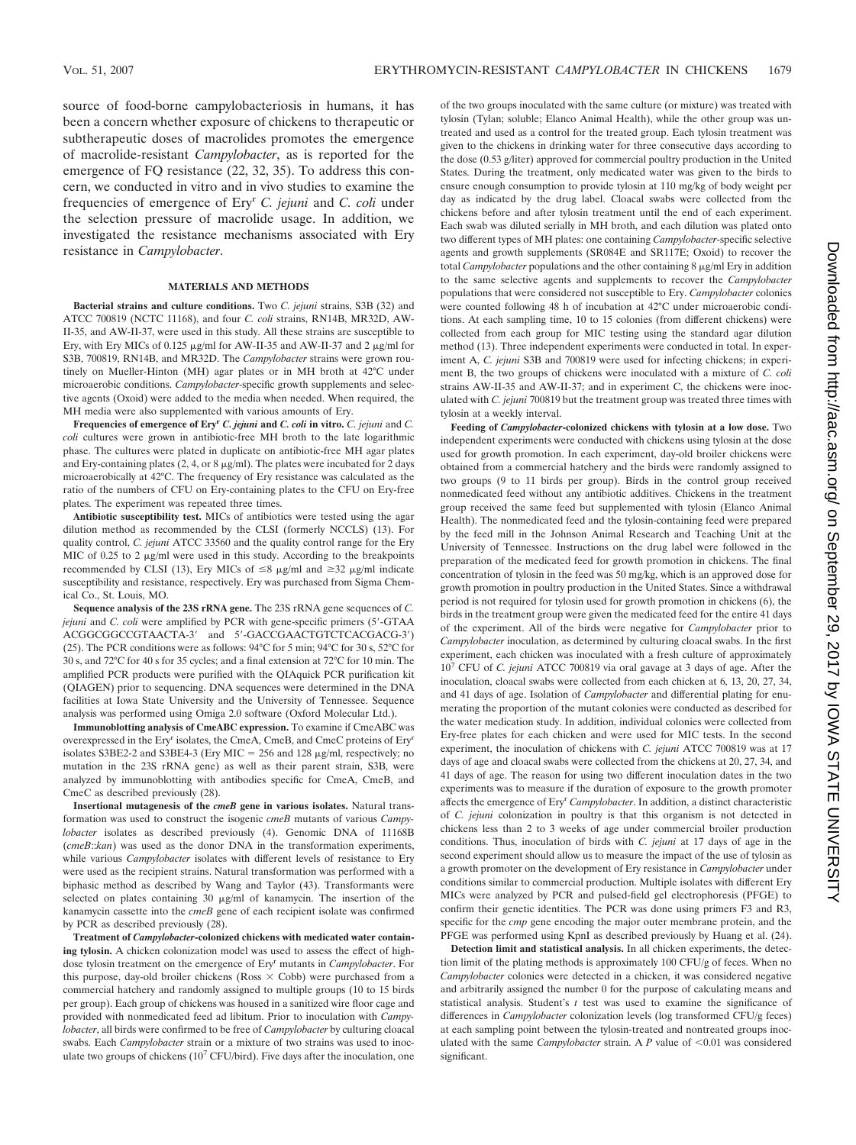source of food-borne campylobacteriosis in humans, it has been a concern whether exposure of chickens to therapeutic or subtherapeutic doses of macrolides promotes the emergence of macrolide-resistant *Campylobacter*, as is reported for the emergence of FQ resistance (22, 32, 35). To address this concern, we conducted in vitro and in vivo studies to examine the frequencies of emergence of Eryr *C. jejuni* and *C. coli* under the selection pressure of macrolide usage. In addition, we investigated the resistance mechanisms associated with Ery resistance in *Campylobacter*.

## **MATERIALS AND METHODS**

**Bacterial strains and culture conditions.** Two *C. jejuni* strains, S3B (32) and ATCC 700819 (NCTC 11168), and four *C. coli* strains, RN14B, MR32D, AW-II-35, and AW-II-37, were used in this study. All these strains are susceptible to Ery, with Ery MICs of 0.125  $\mu$ g/ml for AW-II-35 and AW-II-37 and 2  $\mu$ g/ml for S3B, 700819, RN14B, and MR32D. The *Campylobacter* strains were grown routinely on Mueller-Hinton (MH) agar plates or in MH broth at 42°C under microaerobic conditions. *Campylobacter*-specific growth supplements and selective agents (Oxoid) were added to the media when needed. When required, the MH media were also supplemented with various amounts of Ery.

**Frequencies of emergence of Ery<sup>r</sup>** *C. jejuni* **and** *C. coli* **in vitro.** *C. jejuni* and *C. coli* cultures were grown in antibiotic-free MH broth to the late logarithmic phase. The cultures were plated in duplicate on antibiotic-free MH agar plates and Ery-containing plates (2, 4, or 8  $\mu$ g/ml). The plates were incubated for 2 days microaerobically at 42°C. The frequency of Ery resistance was calculated as the ratio of the numbers of CFU on Ery-containing plates to the CFU on Ery-free plates. The experiment was repeated three times.

**Antibiotic susceptibility test.** MICs of antibiotics were tested using the agar dilution method as recommended by the CLSI (formerly NCCLS) (13). For quality control, *C. jejuni* ATCC 33560 and the quality control range for the Ery MIC of 0.25 to 2  $\mu$ g/ml were used in this study. According to the breakpoints recommended by CLSI (13), Ery MICs of  $\leq 8$   $\mu$ g/ml and  $\geq 32$   $\mu$ g/ml indicate susceptibility and resistance, respectively. Ery was purchased from Sigma Chemical Co., St. Louis, MO.

**Sequence analysis of the 23S rRNA gene.** The 23S rRNA gene sequences of *C. jejuni* and *C. coli* were amplified by PCR with gene-specific primers (5-GTAA ACGGCGGCCGTAACTA-3' and 5'-GACCGAACTGTCTCACGACG-3') (25). The PCR conditions were as follows: 94°C for 5 min; 94°C for 30 s, 52°C for 30 s, and 72°C for 40 s for 35 cycles; and a final extension at 72°C for 10 min. The amplified PCR products were purified with the QIAquick PCR purification kit (QIAGEN) prior to sequencing. DNA sequences were determined in the DNA facilities at Iowa State University and the University of Tennessee. Sequence analysis was performed using Omiga 2.0 software (Oxford Molecular Ltd.).

**Immunoblotting analysis of CmeABC expression.** To examine if CmeABC was overexpressed in the Ery<sup>r</sup> isolates, the CmeA, CmeB, and CmeC proteins of Ery<sup>r</sup> isolates S3BE2-2 and S3BE4-3 (Ery MIC = 256 and 128  $\mu$ g/ml, respectively; no mutation in the 23S rRNA gene) as well as their parent strain, S3B, were analyzed by immunoblotting with antibodies specific for CmeA, CmeB, and CmeC as described previously (28).

**Insertional mutagenesis of the** *cmeB* **gene in various isolates.** Natural transformation was used to construct the isogenic *cmeB* mutants of various *Campylobacter* isolates as described previously (4). Genomic DNA of 11168B (*cmeB*::*kan*) was used as the donor DNA in the transformation experiments, while various *Campylobacter* isolates with different levels of resistance to Ery were used as the recipient strains. Natural transformation was performed with a biphasic method as described by Wang and Taylor (43). Transformants were selected on plates containing  $30 \mu g/ml$  of kanamycin. The insertion of the kanamycin cassette into the *cmeB* gene of each recipient isolate was confirmed by PCR as described previously (28).

**Treatment of** *Campylobacter***-colonized chickens with medicated water containing tylosin.** A chicken colonization model was used to assess the effect of highdose tylosin treatment on the emergence of Ery<sup>r</sup> mutants in *Campylobacter*. For this purpose, day-old broiler chickens (Ross  $\times$  Cobb) were purchased from a commercial hatchery and randomly assigned to multiple groups (10 to 15 birds per group). Each group of chickens was housed in a sanitized wire floor cage and provided with nonmedicated feed ad libitum. Prior to inoculation with *Campylobacter*, all birds were confirmed to be free of *Campylobacter* by culturing cloacal swabs. Each *Campylobacter* strain or a mixture of two strains was used to inoculate two groups of chickens  $(10^7 \text{ CFU/bird})$ . Five days after the inoculation, one of the two groups inoculated with the same culture (or mixture) was treated with tylosin (Tylan; soluble; Elanco Animal Health), while the other group was untreated and used as a control for the treated group. Each tylosin treatment was given to the chickens in drinking water for three consecutive days according to the dose (0.53 g/liter) approved for commercial poultry production in the United States. During the treatment, only medicated water was given to the birds to ensure enough consumption to provide tylosin at 110 mg/kg of body weight per day as indicated by the drug label. Cloacal swabs were collected from the chickens before and after tylosin treatment until the end of each experiment. Each swab was diluted serially in MH broth, and each dilution was plated onto two different types of MH plates: one containing *Campylobacter*-specific selective agents and growth supplements (SR084E and SR117E; Oxoid) to recover the total *Campylobacter* populations and the other containing 8 µg/ml Ery in addition to the same selective agents and supplements to recover the *Campylobacter* populations that were considered not susceptible to Ery. *Campylobacter* colonies were counted following 48 h of incubation at 42°C under microaerobic conditions. At each sampling time, 10 to 15 colonies (from different chickens) were collected from each group for MIC testing using the standard agar dilution method (13). Three independent experiments were conducted in total. In experiment A, *C. jejuni* S3B and 700819 were used for infecting chickens; in experiment B, the two groups of chickens were inoculated with a mixture of *C. coli* strains AW-II-35 and AW-II-37; and in experiment C, the chickens were inoculated with *C. jejuni* 700819 but the treatment group was treated three times with tylosin at a weekly interval.

**Feeding of** *Campylobacter***-colonized chickens with tylosin at a low dose.** Two independent experiments were conducted with chickens using tylosin at the dose used for growth promotion. In each experiment, day-old broiler chickens were obtained from a commercial hatchery and the birds were randomly assigned to two groups (9 to 11 birds per group). Birds in the control group received nonmedicated feed without any antibiotic additives. Chickens in the treatment group received the same feed but supplemented with tylosin (Elanco Animal Health). The nonmedicated feed and the tylosin-containing feed were prepared by the feed mill in the Johnson Animal Research and Teaching Unit at the University of Tennessee. Instructions on the drug label were followed in the preparation of the medicated feed for growth promotion in chickens. The final concentration of tylosin in the feed was 50 mg/kg, which is an approved dose for growth promotion in poultry production in the United States. Since a withdrawal period is not required for tylosin used for growth promotion in chickens (6), the birds in the treatment group were given the medicated feed for the entire 41 days of the experiment. All of the birds were negative for *Campylobacter* prior to *Campylobacter* inoculation, as determined by culturing cloacal swabs. In the first experiment, each chicken was inoculated with a fresh culture of approximately 10<sup>7</sup> CFU of *C. jejuni* ATCC 700819 via oral gavage at 3 days of age. After the inoculation, cloacal swabs were collected from each chicken at 6, 13, 20, 27, 34, and 41 days of age. Isolation of *Campylobacter* and differential plating for enumerating the proportion of the mutant colonies were conducted as described for the water medication study. In addition, individual colonies were collected from Ery-free plates for each chicken and were used for MIC tests. In the second experiment, the inoculation of chickens with *C. jejuni* ATCC 700819 was at 17 days of age and cloacal swabs were collected from the chickens at 20, 27, 34, and 41 days of age. The reason for using two different inoculation dates in the two experiments was to measure if the duration of exposure to the growth promoter affects the emergence of Ery<sup>r</sup> *Campylobacter*. In addition, a distinct characteristic of *C. jejuni* colonization in poultry is that this organism is not detected in chickens less than 2 to 3 weeks of age under commercial broiler production conditions. Thus, inoculation of birds with *C. jejuni* at 17 days of age in the second experiment should allow us to measure the impact of the use of tylosin as a growth promoter on the development of Ery resistance in *Campylobacter* under conditions similar to commercial production. Multiple isolates with different Ery MICs were analyzed by PCR and pulsed-field gel electrophoresis (PFGE) to confirm their genetic identities. The PCR was done using primers F3 and R3, specific for the *cmp* gene encoding the major outer membrane protein, and the PFGE was performed using KpnI as described previously by Huang et al. (24).

**Detection limit and statistical analysis.** In all chicken experiments, the detection limit of the plating methods is approximately 100 CFU/g of feces. When no *Campylobacter* colonies were detected in a chicken, it was considered negative and arbitrarily assigned the number 0 for the purpose of calculating means and statistical analysis. Student's *t* test was used to examine the significance of differences in *Campylobacter* colonization levels (log transformed CFU/g feces) at each sampling point between the tylosin-treated and nontreated groups inoculated with the same *Campylobacter* strain. A  $P$  value of  $\leq 0.01$  was considered significant.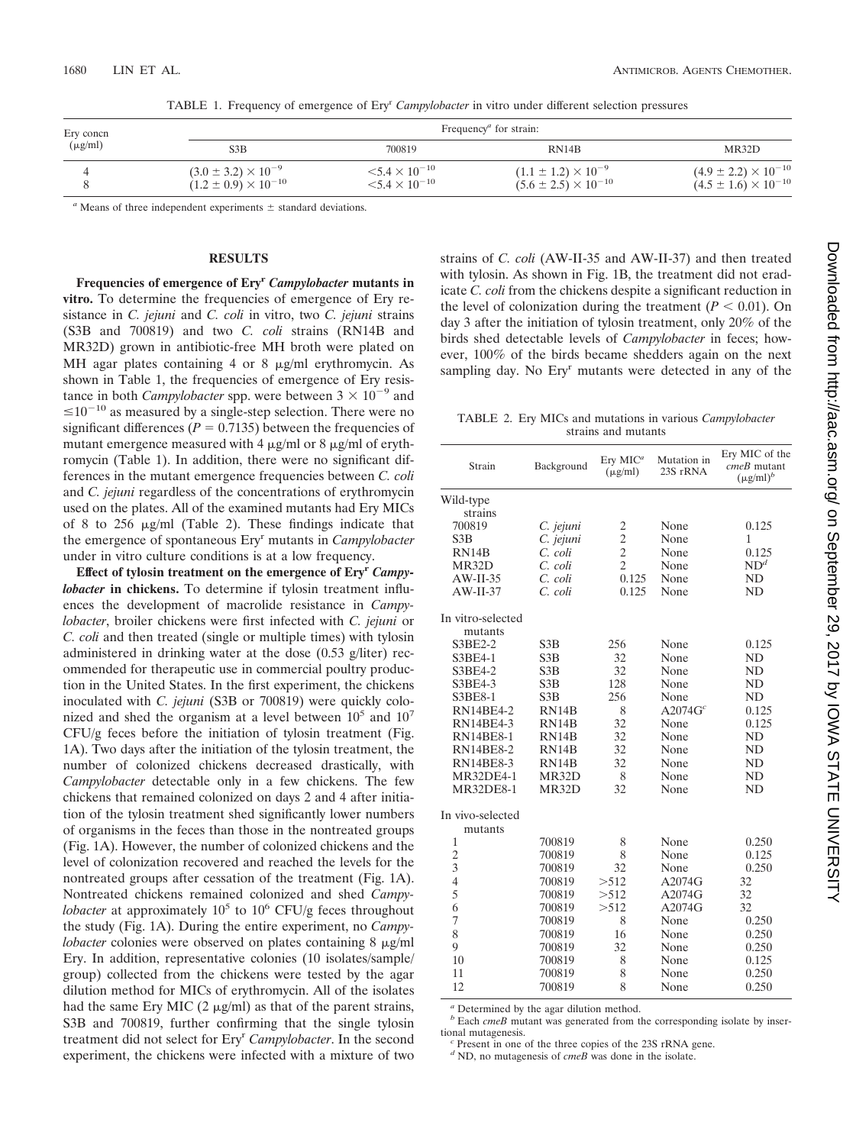| Ery concn<br>$(\mu g/ml)$ | Frequency <sup><i>a</i></sup> for strain: |                            |                                 |                                 |  |
|---------------------------|-------------------------------------------|----------------------------|---------------------------------|---------------------------------|--|
|                           | S3B                                       | 700819                     | RN14B                           | MR32D                           |  |
|                           | $(3.0 \pm 3.2) \times 10^{-9}$            | $\leq 5.4 \times 10^{-10}$ | $(1.1 \pm 1.2) \times 10^{-9}$  | $(4.9 \pm 2.2) \times 10^{-10}$ |  |
|                           | $(1.2 \pm 0.9) \times 10^{-10}$           | $< 5.4 \times 10^{-10}$    | $(5.6 \pm 2.5) \times 10^{-10}$ | $(4.5 \pm 1.6) \times 10^{-10}$ |  |

TABLE 1. Frequency of emergence of Eryr *Campylobacter* in vitro under different selection pressures

 $a$  Means of three independent experiments  $\pm$  standard deviations.

## **RESULTS**

**Frequencies of emergence of Eryr** *Campylobacter* **mutants in vitro.** To determine the frequencies of emergence of Ery resistance in *C. jejuni* and *C. coli* in vitro, two *C. jejuni* strains (S3B and 700819) and two *C. coli* strains (RN14B and MR32D) grown in antibiotic-free MH broth were plated on MH agar plates containing 4 or 8  $\mu$ g/ml erythromycin. As shown in Table 1, the frequencies of emergence of Ery resistance in both *Campylobacter* spp. were between  $3 \times 10^{-9}$  and  $\leq 10^{-10}$  as measured by a single-step selection. There were no significant differences ( $P = 0.7135$ ) between the frequencies of mutant emergence measured with 4  $\mu$ g/ml or 8  $\mu$ g/ml of erythromycin (Table 1). In addition, there were no significant differences in the mutant emergence frequencies between *C. coli* and *C. jejuni* regardless of the concentrations of erythromycin used on the plates. All of the examined mutants had Ery MICs of 8 to 256  $\mu$ g/ml (Table 2). These findings indicate that the emergence of spontaneous Eryr mutants in *Campylobacter* under in vitro culture conditions is at a low frequency.

**Effect of tylosin treatment on the emergence of Eryr** *Campylobacter* **in chickens.** To determine if tylosin treatment influences the development of macrolide resistance in *Campylobacter*, broiler chickens were first infected with *C. jejuni* or *C. coli* and then treated (single or multiple times) with tylosin administered in drinking water at the dose (0.53 g/liter) recommended for therapeutic use in commercial poultry production in the United States. In the first experiment, the chickens inoculated with *C. jejuni* (S3B or 700819) were quickly colonized and shed the organism at a level between  $10<sup>5</sup>$  and  $10<sup>7</sup>$ CFU/g feces before the initiation of tylosin treatment (Fig. 1A). Two days after the initiation of the tylosin treatment, the number of colonized chickens decreased drastically, with *Campylobacter* detectable only in a few chickens. The few chickens that remained colonized on days 2 and 4 after initiation of the tylosin treatment shed significantly lower numbers of organisms in the feces than those in the nontreated groups (Fig. 1A). However, the number of colonized chickens and the level of colonization recovered and reached the levels for the nontreated groups after cessation of the treatment (Fig. 1A). Nontreated chickens remained colonized and shed *Campylobacter* at approximately  $10^5$  to  $10^6$  CFU/g feces throughout the study (Fig. 1A). During the entire experiment, no *Campylobacter* colonies were observed on plates containing 8  $\mu$ g/ml Ery. In addition, representative colonies (10 isolates/sample/ group) collected from the chickens were tested by the agar dilution method for MICs of erythromycin. All of the isolates had the same Ery MIC  $(2 \mu g/ml)$  as that of the parent strains, S3B and 700819, further confirming that the single tylosin treatment did not select for Ery<sup>r</sup> Campylobacter. In the second experiment, the chickens were infected with a mixture of two

strains of *C. coli* (AW-II-35 and AW-II-37) and then treated with tylosin. As shown in Fig. 1B, the treatment did not eradicate *C. coli* from the chickens despite a significant reduction in the level of colonization during the treatment  $(P < 0.01)$ . On day 3 after the initiation of tylosin treatment, only 20% of the birds shed detectable levels of *Campylobacter* in feces; however, 100% of the birds became shedders again on the next sampling day. No Ery<sup>r</sup> mutants were detected in any of the

TABLE 2. Ery MICs and mutations in various *Campylobacter* strains and mutants

| Strain                       | Background         | $Ery$ MIC <sup>a</sup><br>$(\mu$ g/ml) | Mutation in<br>23S rRNA | Ery MIC of the<br>cmeB mutant<br>$(\mu g/ml)^b$ |
|------------------------------|--------------------|----------------------------------------|-------------------------|-------------------------------------------------|
| Wild-type                    |                    |                                        |                         |                                                 |
| strains                      |                    |                                        |                         |                                                 |
| 700819                       | C. jejuni          | 2                                      | None                    | 0.125                                           |
| S3B                          | C. jejuni          | $\overline{c}$                         | None                    | 1                                               |
| RN <sub>14</sub> B           | C. coli            | $\overline{c}$                         | None                    | 0.125                                           |
| MR32D                        | C. coli            | $\overline{2}$                         | None                    | ND <sup>d</sup>                                 |
| $AW-II-35$                   | C. coli            | 0.125                                  | None                    | ND                                              |
| $AW-II-37$                   | C. coli            | 0.125                                  | None                    | <b>ND</b>                                       |
| In vitro-selected<br>mutants |                    |                                        |                         |                                                 |
| S3BE2-2                      | S3B                | 256                                    | None                    | 0.125                                           |
| S3BE4-1                      | S <sub>3</sub> B   | 32                                     | None                    | ND                                              |
| S3BE4-2                      | S3B                | 32                                     | None                    | ND                                              |
| S3BE4-3                      | S3B                | 128                                    | None                    | ND                                              |
| S3BE8-1                      | S3B                | 256                                    | None                    | ND                                              |
| <b>RN14BE4-2</b>             | RN14B              | 8                                      | A2074G <sup>c</sup>     | 0.125                                           |
| <b>RN14BE4-3</b>             | RN <sub>14</sub> B | 32                                     | None                    | 0.125                                           |
| <b>RN14BE8-1</b>             | RN14B              | 32                                     | None                    | N <sub>D</sub>                                  |
| <b>RN14BE8-2</b>             | RN14B              | 32                                     | None                    | ND                                              |
| <b>RN14BE8-3</b>             | RN14B              | 32                                     | None                    | ND                                              |
| <b>MR32DE4-1</b>             | MR32D              | 8                                      | None                    | ND                                              |
| <b>MR32DE8-1</b>             | MR32D              | 32                                     | None                    | ND                                              |
| In vivo-selected<br>mutants  |                    |                                        |                         |                                                 |
| 1                            | 700819             | 8                                      | None                    | 0.250                                           |
| $\overline{c}$               | 700819             | 8                                      | None                    | 0.125                                           |
| 3                            | 700819             | 32                                     | None                    | 0.250                                           |
| $\overline{4}$               | 700819             | >512                                   | A2074G                  | 32                                              |
| 5                            | 700819             | > 512                                  | A2074G                  | 32                                              |
| 6                            | 700819             | > 512                                  | A2074G                  | 32                                              |
| 7                            | 700819             | 8                                      | None                    | 0.250                                           |
| 8                            | 700819             | 16                                     | None                    | 0.250                                           |
| 9                            | 700819             | 32                                     | None                    | 0.250                                           |
| 10                           | 700819             | 8                                      | None                    | 0.125                                           |
| 11                           | 700819             | 8                                      | None                    | 0.250                                           |
| 12                           | 700819             | 8                                      | None                    | 0.250                                           |

*<sup>a</sup>* Determined by the agar dilution method.

*b* Each *cmeB* mutant was generated from the corresponding isolate by insertional mutagenesis.

 $c$  Present in one of the three copies of the 23S rRNA gene.

*<sup>d</sup>* ND, no mutagenesis of *cmeB* was done in the isolate.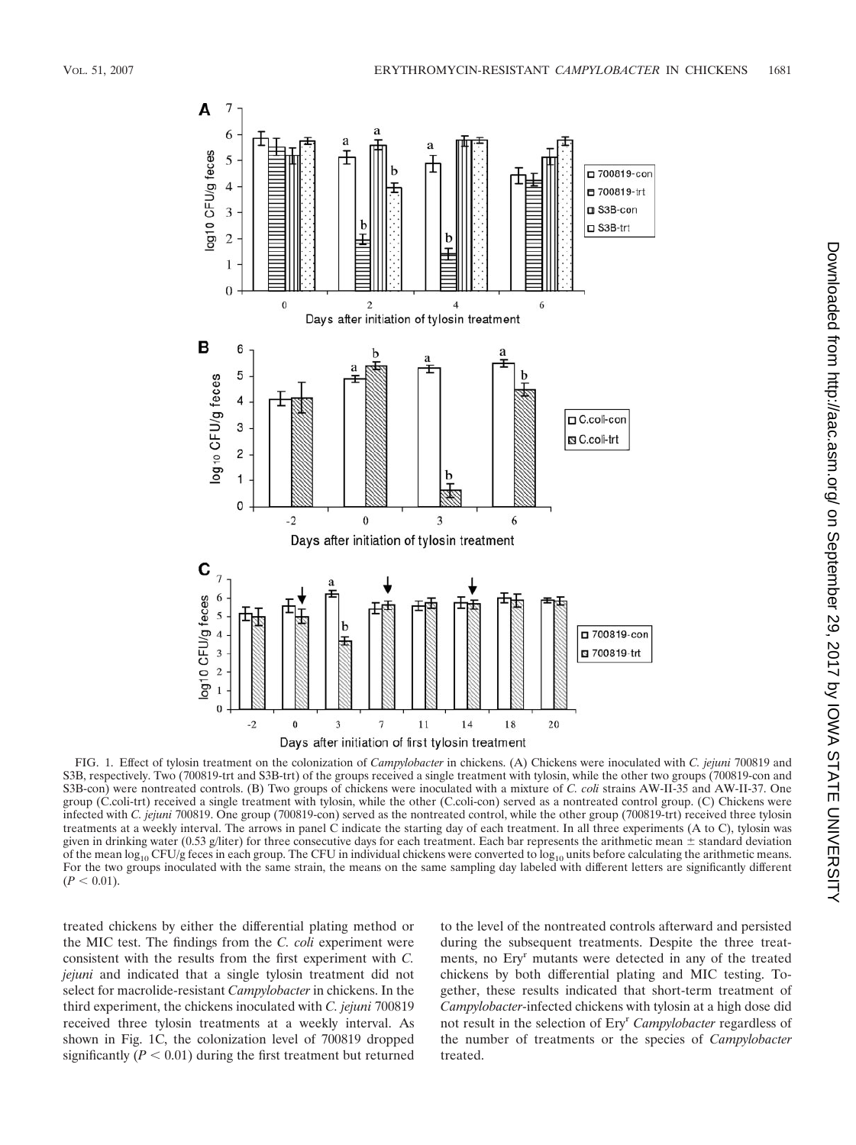

Downloaded from http://aac.asm.org/ on September 29, 2017 by IOWA STATE UNIVERSITY on September 29, 2017 by IOWA STATE UNIVERSITY <http://aac.asm.org/> Downloaded from

FIG. 1. Effect of tylosin treatment on the colonization of *Campylobacter* in chickens. (A) Chickens were inoculated with *C. jejuni* 700819 and S3B, respectively. Two (700819-trt and S3B-trt) of the groups received a single treatment with tylosin, while the other two groups (700819-con and S3B-con) were nontreated controls. (B) Two groups of chickens were inoculated with a mixture of *C. coli* strains AW-II-35 and AW-II-37. One group (C.coli-trt) received a single treatment with tylosin, while the other (C.coli-con) served as a nontreated control group. (C) Chickens were infected with *C. jejuni* 700819. One group (700819-con) served as the nontreated control, while the other group (700819-trt) received three tylosin treatments at a weekly interval. The arrows in panel C indicate the starting day of each treatment. In all three experiments (A to C), tylosin was given in drinking water (0.53 g/liter) for three consecutive days for each treatment. Each bar represents the arithmetic mean  $\pm$  standard deviation of the mean  $log_{10}$  CFU/g feces in each group. The CFU in individual chickens were converted to  $log_{10}$  units before calculating the arithmetic means. For the two groups inoculated with the same strain, the means on the same sampling day labeled with different letters are significantly different  $(P < 0.01)$ .

treated chickens by either the differential plating method or the MIC test. The findings from the *C. coli* experiment were consistent with the results from the first experiment with *C. jejuni* and indicated that a single tylosin treatment did not select for macrolide-resistant *Campylobacter* in chickens. In the third experiment, the chickens inoculated with *C. jejuni* 700819 received three tylosin treatments at a weekly interval. As shown in Fig. 1C, the colonization level of 700819 dropped significantly  $(P < 0.01)$  during the first treatment but returned

to the level of the nontreated controls afterward and persisted during the subsequent treatments. Despite the three treatments, no Eryr mutants were detected in any of the treated chickens by both differential plating and MIC testing. Together, these results indicated that short-term treatment of *Campylobacter*-infected chickens with tylosin at a high dose did not result in the selection of Eryr *Campylobacter* regardless of the number of treatments or the species of *Campylobacter* treated.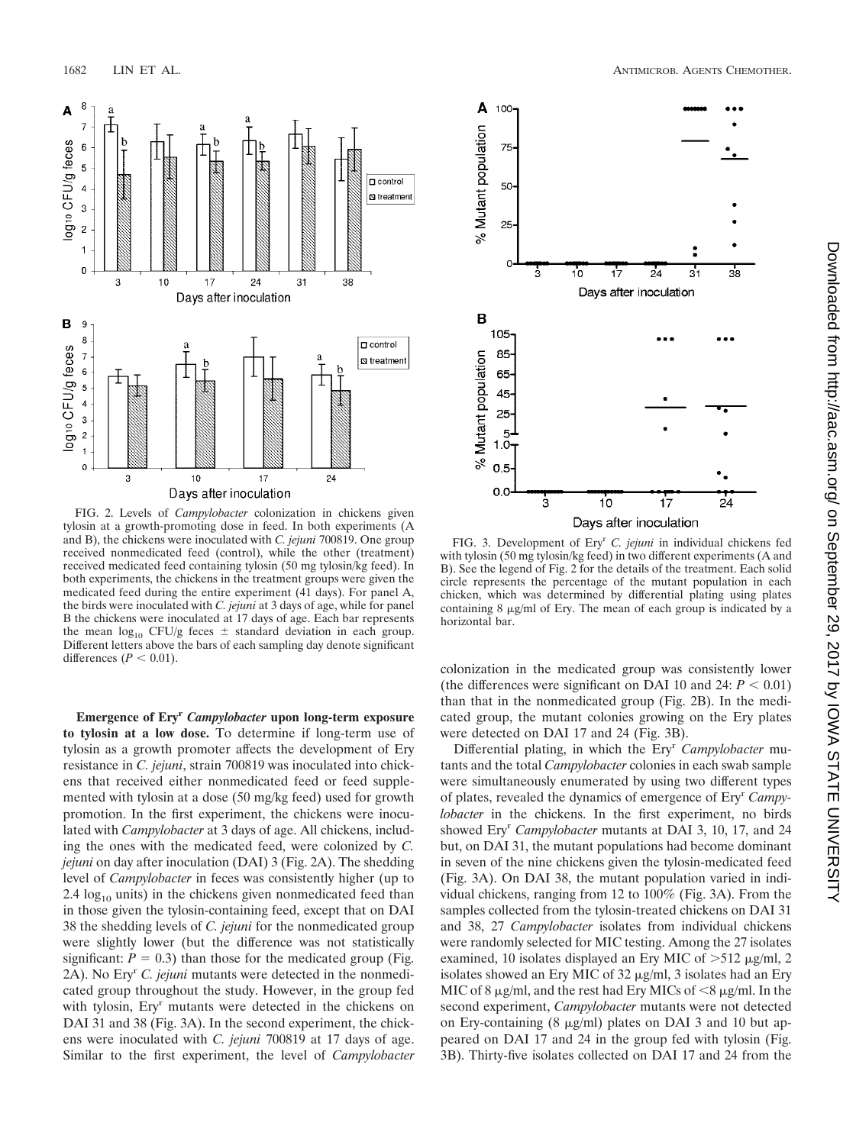

FIG. 2. Levels of *Campylobacter* colonization in chickens given tylosin at a growth-promoting dose in feed. In both experiments (A and B), the chickens were inoculated with *C. jejuni* 700819. One group received nonmedicated feed (control), while the other (treatment) received medicated feed containing tylosin (50 mg tylosin/kg feed). In both experiments, the chickens in the treatment groups were given the medicated feed during the entire experiment (41 days). For panel A, the birds were inoculated with *C. jejuni* at 3 days of age, while for panel B the chickens were inoculated at 17 days of age. Each bar represents the mean  $log_{10}$  CFU/g feces  $\pm$  standard deviation in each group. Different letters above the bars of each sampling day denote significant differences  $(P < 0.01)$ .

**Emergence of Eryr** *Campylobacter* **upon long-term exposure to tylosin at a low dose.** To determine if long-term use of tylosin as a growth promoter affects the development of Ery resistance in *C. jejuni*, strain 700819 was inoculated into chickens that received either nonmedicated feed or feed supplemented with tylosin at a dose (50 mg/kg feed) used for growth promotion. In the first experiment, the chickens were inoculated with *Campylobacter* at 3 days of age. All chickens, including the ones with the medicated feed, were colonized by *C. jejuni* on day after inoculation (DAI) 3 (Fig. 2A). The shedding level of *Campylobacter* in feces was consistently higher (up to 2.4  $log<sub>10</sub>$  units) in the chickens given nonmedicated feed than in those given the tylosin-containing feed, except that on DAI 38 the shedding levels of *C. jejuni* for the nonmedicated group were slightly lower (but the difference was not statistically significant:  $P = 0.3$ ) than those for the medicated group (Fig. 2A). No Eryr *C. jejuni* mutants were detected in the nonmedicated group throughout the study. However, in the group fed with tylosin, Ery<sup>r</sup> mutants were detected in the chickens on DAI 31 and 38 (Fig. 3A). In the second experiment, the chickens were inoculated with *C. jejuni* 700819 at 17 days of age. Similar to the first experiment, the level of *Campylobacter*



FIG. 3. Development of Eryr *C. jejuni* in individual chickens fed with tylosin (50 mg tylosin/kg feed) in two different experiments (A and B). See the legend of Fig. 2 for the details of the treatment. Each solid circle represents the percentage of the mutant population in each chicken, which was determined by differential plating using plates containing  $8 \mu g/ml$  of Ery. The mean of each group is indicated by a horizontal bar.

colonization in the medicated group was consistently lower (the differences were significant on DAI 10 and 24:  $P < 0.01$ ) than that in the nonmedicated group (Fig. 2B). In the medicated group, the mutant colonies growing on the Ery plates were detected on DAI 17 and 24 (Fig. 3B).

Differential plating, in which the Ery<sup>r</sup> Campylobacter mutants and the total *Campylobacter* colonies in each swab sample were simultaneously enumerated by using two different types of plates, revealed the dynamics of emergence of Eryr *Campylobacter* in the chickens. In the first experiment, no birds showed Ery<sup>r</sup> *Campylobacter* mutants at DAI 3, 10, 17, and 24 but, on DAI 31, the mutant populations had become dominant in seven of the nine chickens given the tylosin-medicated feed (Fig. 3A). On DAI 38, the mutant population varied in individual chickens, ranging from 12 to 100% (Fig. 3A). From the samples collected from the tylosin-treated chickens on DAI 31 and 38, 27 *Campylobacter* isolates from individual chickens were randomly selected for MIC testing. Among the 27 isolates examined, 10 isolates displayed an Ery MIC of  $>512 \mu g/ml$ , 2 isolates showed an Ery MIC of 32  $\mu$ g/ml, 3 isolates had an Ery MIC of 8  $\mu$ g/ml, and the rest had Ery MICs of <8  $\mu$ g/ml. In the second experiment, *Campylobacter* mutants were not detected on Ery-containing  $(8 \mu g/ml)$  plates on DAI 3 and 10 but appeared on DAI 17 and 24 in the group fed with tylosin (Fig. 3B). Thirty-five isolates collected on DAI 17 and 24 from the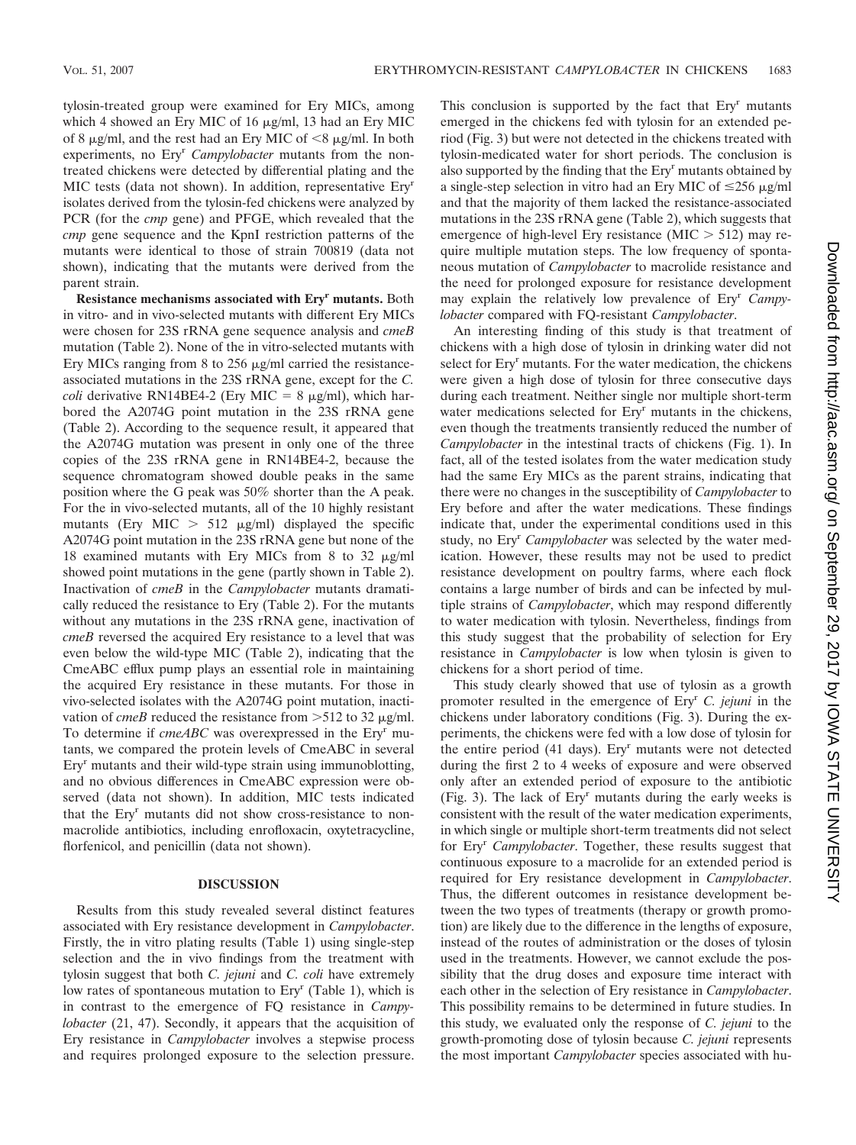tylosin-treated group were examined for Ery MICs, among which 4 showed an Ery MIC of 16  $\mu$ g/ml, 13 had an Ery MIC of 8  $\mu$ g/ml, and the rest had an Ery MIC of <8  $\mu$ g/ml. In both experiments, no Ery<sup>r</sup> Campylobacter mutants from the nontreated chickens were detected by differential plating and the MIC tests (data not shown). In addition, representative Eryr isolates derived from the tylosin-fed chickens were analyzed by PCR (for the *cmp* gene) and PFGE, which revealed that the *cmp* gene sequence and the KpnI restriction patterns of the mutants were identical to those of strain 700819 (data not shown), indicating that the mutants were derived from the parent strain.

**Resistance mechanisms associated with Eryr mutants.** Both in vitro- and in vivo-selected mutants with different Ery MICs were chosen for 23S rRNA gene sequence analysis and *cmeB* mutation (Table 2). None of the in vitro-selected mutants with Ery MICs ranging from 8 to 256  $\mu$ g/ml carried the resistanceassociated mutations in the 23S rRNA gene, except for the *C. coli* derivative RN14BE4-2 (Ery MIC =  $8 \mu g/ml$ ), which harbored the A2074G point mutation in the 23S rRNA gene (Table 2). According to the sequence result, it appeared that the A2074G mutation was present in only one of the three copies of the 23S rRNA gene in RN14BE4-2, because the sequence chromatogram showed double peaks in the same position where the G peak was 50% shorter than the A peak. For the in vivo-selected mutants, all of the 10 highly resistant mutants (Ery MIC  $> 512 \mu g/ml$ ) displayed the specific A2074G point mutation in the 23S rRNA gene but none of the 18 examined mutants with Ery MICs from 8 to 32  $\mu$ g/ml showed point mutations in the gene (partly shown in Table 2). Inactivation of *cmeB* in the *Campylobacter* mutants dramatically reduced the resistance to Ery (Table 2). For the mutants without any mutations in the 23S rRNA gene, inactivation of *cmeB* reversed the acquired Ery resistance to a level that was even below the wild-type MIC (Table 2), indicating that the CmeABC efflux pump plays an essential role in maintaining the acquired Ery resistance in these mutants. For those in vivo-selected isolates with the A2074G point mutation, inactivation of *cmeB* reduced the resistance from  $>512$  to 32  $\mu$ g/ml. To determine if *cmeABC* was overexpressed in the Ery<sup>r</sup> mutants, we compared the protein levels of CmeABC in several  $Ery<sup>r</sup>$  mutants and their wild-type strain using immunoblotting, and no obvious differences in CmeABC expression were observed (data not shown). In addition, MIC tests indicated that the Ery<sup>r</sup> mutants did not show cross-resistance to nonmacrolide antibiotics, including enrofloxacin, oxytetracycline, florfenicol, and penicillin (data not shown).

## **DISCUSSION**

Results from this study revealed several distinct features associated with Ery resistance development in *Campylobacter*. Firstly, the in vitro plating results (Table 1) using single-step selection and the in vivo findings from the treatment with tylosin suggest that both *C. jejuni* and *C. coli* have extremely low rates of spontaneous mutation to Ery<sup>r</sup> (Table 1), which is in contrast to the emergence of FQ resistance in *Campylobacter* (21, 47). Secondly, it appears that the acquisition of Ery resistance in *Campylobacter* involves a stepwise process and requires prolonged exposure to the selection pressure.

This conclusion is supported by the fact that  $Ery<sup>r</sup>$  mutants emerged in the chickens fed with tylosin for an extended period (Fig. 3) but were not detected in the chickens treated with tylosin-medicated water for short periods. The conclusion is also supported by the finding that the Ery<sup>r</sup> mutants obtained by a single-step selection in vitro had an Ery MIC of  $\leq$ 256  $\mu$ g/ml and that the majority of them lacked the resistance-associated mutations in the 23S rRNA gene (Table 2), which suggests that emergence of high-level Ery resistance (MIC  $> 512$ ) may require multiple mutation steps. The low frequency of spontaneous mutation of *Campylobacter* to macrolide resistance and the need for prolonged exposure for resistance development may explain the relatively low prevalence of Eryr *Campylobacter* compared with FQ-resistant *Campylobacter*.

An interesting finding of this study is that treatment of chickens with a high dose of tylosin in drinking water did not select for Ery<sup>r</sup> mutants. For the water medication, the chickens were given a high dose of tylosin for three consecutive days during each treatment. Neither single nor multiple short-term water medications selected for Ery<sup>r</sup> mutants in the chickens, even though the treatments transiently reduced the number of *Campylobacter* in the intestinal tracts of chickens (Fig. 1). In fact, all of the tested isolates from the water medication study had the same Ery MICs as the parent strains, indicating that there were no changes in the susceptibility of *Campylobacter* to Ery before and after the water medications. These findings indicate that, under the experimental conditions used in this study, no Eryr *Campylobacter* was selected by the water medication. However, these results may not be used to predict resistance development on poultry farms, where each flock contains a large number of birds and can be infected by multiple strains of *Campylobacter*, which may respond differently to water medication with tylosin. Nevertheless, findings from this study suggest that the probability of selection for Ery resistance in *Campylobacter* is low when tylosin is given to chickens for a short period of time.

This study clearly showed that use of tylosin as a growth promoter resulted in the emergence of Eryr *C. jejuni* in the chickens under laboratory conditions (Fig. 3). During the experiments, the chickens were fed with a low dose of tylosin for the entire period  $(41 \text{ days})$ . Ery<sup>r</sup> mutants were not detected during the first 2 to 4 weeks of exposure and were observed only after an extended period of exposure to the antibiotic (Fig. 3). The lack of  $Ery<sup>r</sup>$  mutants during the early weeks is consistent with the result of the water medication experiments, in which single or multiple short-term treatments did not select for Eryr *Campylobacter*. Together, these results suggest that continuous exposure to a macrolide for an extended period is required for Ery resistance development in *Campylobacter*. Thus, the different outcomes in resistance development between the two types of treatments (therapy or growth promotion) are likely due to the difference in the lengths of exposure, instead of the routes of administration or the doses of tylosin used in the treatments. However, we cannot exclude the possibility that the drug doses and exposure time interact with each other in the selection of Ery resistance in *Campylobacter*. This possibility remains to be determined in future studies. In this study, we evaluated only the response of *C. jejuni* to the growth-promoting dose of tylosin because *C. jejuni* represents the most important *Campylobacter* species associated with hu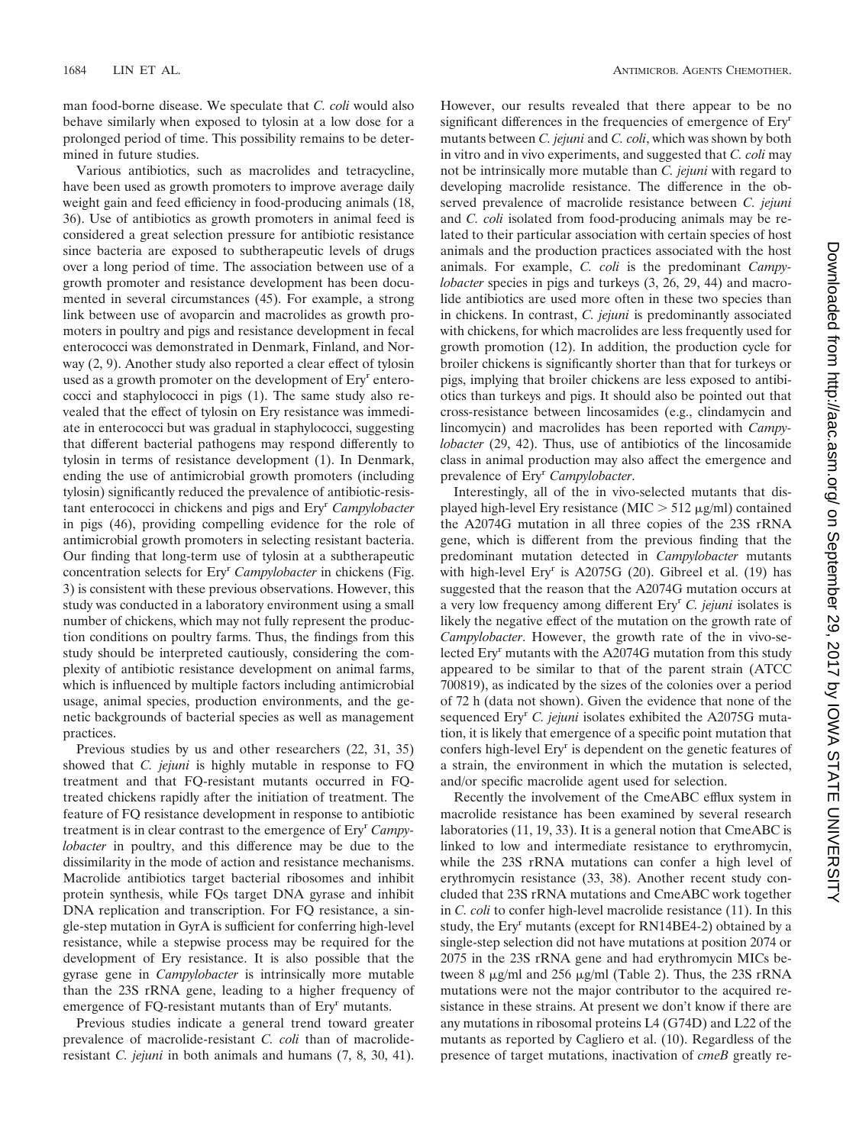man food-borne disease. We speculate that *C. coli* would also behave similarly when exposed to tylosin at a low dose for a prolonged period of time. This possibility remains to be determined in future studies.

Various antibiotics, such as macrolides and tetracycline, have been used as growth promoters to improve average daily weight gain and feed efficiency in food-producing animals (18, 36). Use of antibiotics as growth promoters in animal feed is considered a great selection pressure for antibiotic resistance since bacteria are exposed to subtherapeutic levels of drugs over a long period of time. The association between use of a growth promoter and resistance development has been documented in several circumstances (45). For example, a strong link between use of avoparcin and macrolides as growth promoters in poultry and pigs and resistance development in fecal enterococci was demonstrated in Denmark, Finland, and Norway (2, 9). Another study also reported a clear effect of tylosin used as a growth promoter on the development of Ery<sup>r</sup> enterococci and staphylococci in pigs (1). The same study also revealed that the effect of tylosin on Ery resistance was immediate in enterococci but was gradual in staphylococci, suggesting that different bacterial pathogens may respond differently to tylosin in terms of resistance development (1). In Denmark, ending the use of antimicrobial growth promoters (including tylosin) significantly reduced the prevalence of antibiotic-resistant enterococci in chickens and pigs and Eryr *Campylobacter* in pigs (46), providing compelling evidence for the role of antimicrobial growth promoters in selecting resistant bacteria. Our finding that long-term use of tylosin at a subtherapeutic concentration selects for Eryr *Campylobacter* in chickens (Fig. 3) is consistent with these previous observations. However, this study was conducted in a laboratory environment using a small number of chickens, which may not fully represent the production conditions on poultry farms. Thus, the findings from this study should be interpreted cautiously, considering the complexity of antibiotic resistance development on animal farms, which is influenced by multiple factors including antimicrobial usage, animal species, production environments, and the genetic backgrounds of bacterial species as well as management practices.

Previous studies by us and other researchers (22, 31, 35) showed that *C. jejuni* is highly mutable in response to FQ treatment and that FQ-resistant mutants occurred in FQtreated chickens rapidly after the initiation of treatment. The feature of FQ resistance development in response to antibiotic treatment is in clear contrast to the emergence of  $Ery<sup>r</sup>$  *Campylobacter* in poultry, and this difference may be due to the dissimilarity in the mode of action and resistance mechanisms. Macrolide antibiotics target bacterial ribosomes and inhibit protein synthesis, while FQs target DNA gyrase and inhibit DNA replication and transcription. For FQ resistance, a single-step mutation in GyrA is sufficient for conferring high-level resistance, while a stepwise process may be required for the development of Ery resistance. It is also possible that the gyrase gene in *Campylobacter* is intrinsically more mutable than the 23S rRNA gene, leading to a higher frequency of emergence of FQ-resistant mutants than of Ery<sup>r</sup> mutants.

Previous studies indicate a general trend toward greater prevalence of macrolide-resistant *C. coli* than of macrolideresistant *C. jejuni* in both animals and humans (7, 8, 30, 41).

However, our results revealed that there appear to be no significant differences in the frequencies of emergence of  $Ery<sup>r</sup>$ mutants between *C. jejuni* and *C. coli*, which was shown by both in vitro and in vivo experiments, and suggested that *C. coli* may not be intrinsically more mutable than *C. jejuni* with regard to developing macrolide resistance. The difference in the observed prevalence of macrolide resistance between *C. jejuni* and *C. coli* isolated from food-producing animals may be related to their particular association with certain species of host animals and the production practices associated with the host animals. For example, *C. coli* is the predominant *Campylobacter* species in pigs and turkeys (3, 26, 29, 44) and macrolide antibiotics are used more often in these two species than in chickens. In contrast, *C. jejuni* is predominantly associated with chickens, for which macrolides are less frequently used for growth promotion (12). In addition, the production cycle for broiler chickens is significantly shorter than that for turkeys or pigs, implying that broiler chickens are less exposed to antibiotics than turkeys and pigs. It should also be pointed out that cross-resistance between lincosamides (e.g., clindamycin and lincomycin) and macrolides has been reported with *Campylobacter* (29, 42). Thus, use of antibiotics of the lincosamide class in animal production may also affect the emergence and prevalence of Eryr *Campylobacter*.

Interestingly, all of the in vivo-selected mutants that displayed high-level Ery resistance (MIC  $>$  512  $\mu$ g/ml) contained the A2074G mutation in all three copies of the 23S rRNA gene, which is different from the previous finding that the predominant mutation detected in *Campylobacter* mutants with high-level Ery<sup>r</sup> is A2075G (20). Gibreel et al. (19) has suggested that the reason that the A2074G mutation occurs at a very low frequency among different Eryr *C. jejuni* isolates is likely the negative effect of the mutation on the growth rate of *Campylobacter*. However, the growth rate of the in vivo-selected Eryr mutants with the A2074G mutation from this study appeared to be similar to that of the parent strain (ATCC 700819), as indicated by the sizes of the colonies over a period of 72 h (data not shown). Given the evidence that none of the sequenced Ery<sup>r</sup> *C. jejuni* isolates exhibited the A2075G mutation, it is likely that emergence of a specific point mutation that confers high-level Ery<sup>r</sup> is dependent on the genetic features of a strain, the environment in which the mutation is selected, and/or specific macrolide agent used for selection.

Recently the involvement of the CmeABC efflux system in macrolide resistance has been examined by several research laboratories (11, 19, 33). It is a general notion that CmeABC is linked to low and intermediate resistance to erythromycin, while the 23S rRNA mutations can confer a high level of erythromycin resistance (33, 38). Another recent study concluded that 23S rRNA mutations and CmeABC work together in *C. coli* to confer high-level macrolide resistance (11). In this study, the Ery<sup>r</sup> mutants (except for RN14BE4-2) obtained by a single-step selection did not have mutations at position 2074 or 2075 in the 23S rRNA gene and had erythromycin MICs between 8  $\mu$ g/ml and 256  $\mu$ g/ml (Table 2). Thus, the 23S rRNA mutations were not the major contributor to the acquired resistance in these strains. At present we don't know if there are any mutations in ribosomal proteins L4 (G74D) and L22 of the mutants as reported by Cagliero et al. (10). Regardless of the presence of target mutations, inactivation of *cmeB* greatly re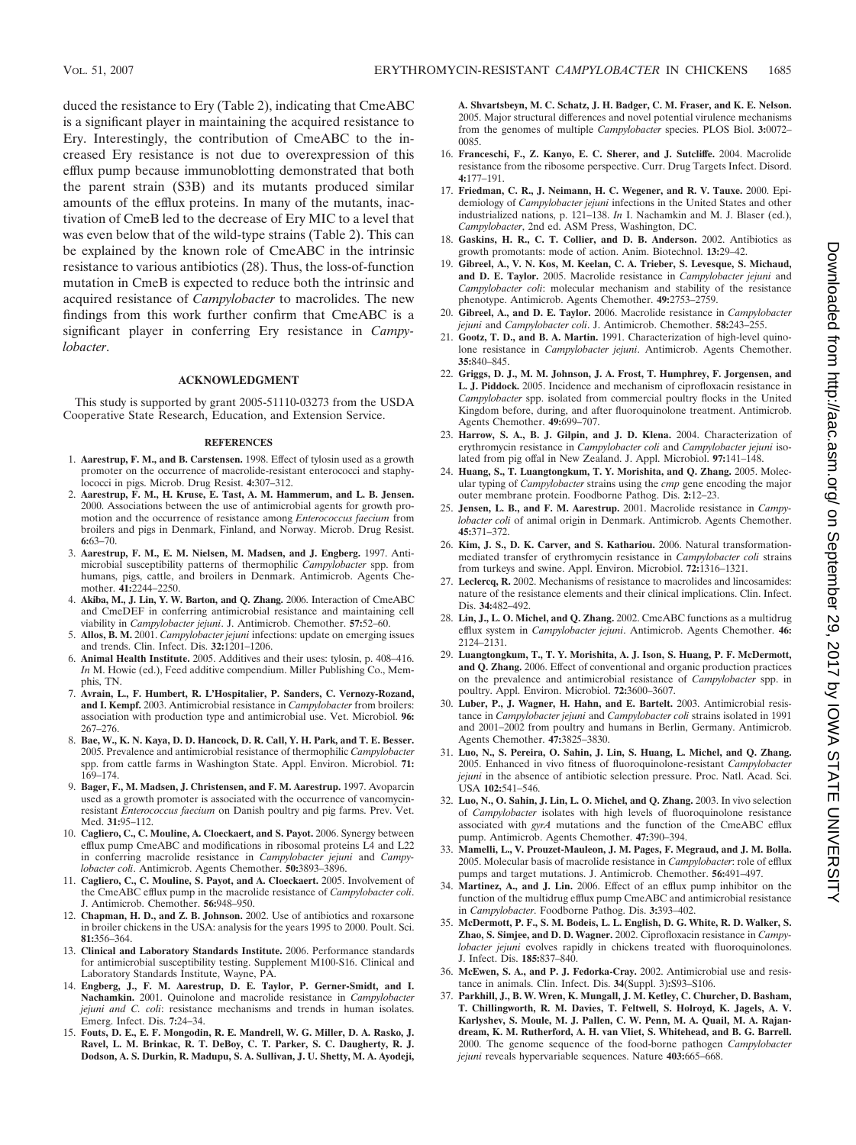duced the resistance to Ery (Table 2), indicating that CmeABC is a significant player in maintaining the acquired resistance to Ery. Interestingly, the contribution of CmeABC to the increased Ery resistance is not due to overexpression of this efflux pump because immunoblotting demonstrated that both the parent strain (S3B) and its mutants produced similar amounts of the efflux proteins. In many of the mutants, inactivation of CmeB led to the decrease of Ery MIC to a level that was even below that of the wild-type strains (Table 2). This can be explained by the known role of CmeABC in the intrinsic resistance to various antibiotics (28). Thus, the loss-of-function mutation in CmeB is expected to reduce both the intrinsic and acquired resistance of *Campylobacter* to macrolides. The new findings from this work further confirm that CmeABC is a significant player in conferring Ery resistance in *Campylobacter*.

### **ACKNOWLEDGMENT**

This study is supported by grant 2005-51110-03273 from the USDA Cooperative State Research, Education, and Extension Service.

#### **REFERENCES**

- 1. **Aarestrup, F. M., and B. Carstensen.** 1998. Effect of tylosin used as a growth promoter on the occurrence of macrolide-resistant enterococci and staphylococci in pigs. Microb. Drug Resist. **4:**307–312.
- 2. **Aarestrup, F. M., H. Kruse, E. Tast, A. M. Hammerum, and L. B. Jensen.** 2000. Associations between the use of antimicrobial agents for growth promotion and the occurrence of resistance among *Enterococcus faecium* from broilers and pigs in Denmark, Finland, and Norway. Microb. Drug Resist. **6:**63–70.
- 3. **Aarestrup, F. M., E. M. Nielsen, M. Madsen, and J. Engberg.** 1997. Antimicrobial susceptibility patterns of thermophilic *Campylobacter* spp. from humans, pigs, cattle, and broilers in Denmark. Antimicrob. Agents Chemother. **41:**2244–2250.
- 4. **Akiba, M., J. Lin, Y. W. Barton, and Q. Zhang.** 2006. Interaction of CmeABC and CmeDEF in conferring antimicrobial resistance and maintaining cell viability in *Campylobacter jejuni*. J. Antimicrob. Chemother. **57:**52–60.
- 5. **Allos, B. M.** 2001. *Campylobacter jejuni* infections: update on emerging issues and trends. Clin. Infect. Dis. **32:**1201–1206.
- 6. **Animal Health Institute.** 2005. Additives and their uses: tylosin, p. 408–416. *In* M. Howie (ed.), Feed additive compendium. Miller Publishing Co., Memphis, TN.
- 7. **Avrain, L., F. Humbert, R. L'Hospitalier, P. Sanders, C. Vernozy-Rozand, and I. Kempf.** 2003. Antimicrobial resistance in *Campylobacter* from broilers: association with production type and antimicrobial use. Vet. Microbiol. **96:** 267–276.
- 8. **Bae, W., K. N. Kaya, D. D. Hancock, D. R. Call, Y. H. Park, and T. E. Besser.** 2005. Prevalence and antimicrobial resistance of thermophilic *Campylobacter* spp. from cattle farms in Washington State. Appl. Environ. Microbiol. **71:**  $169 - 174$
- 9. **Bager, F., M. Madsen, J. Christensen, and F. M. Aarestrup.** 1997. Avoparcin used as a growth promoter is associated with the occurrence of vancomycinresistant *Enterococcus faecium* on Danish poultry and pig farms. Prev. Vet. Med. **31:**95–112.
- 10. **Cagliero, C., C. Mouline, A. Cloeckaert, and S. Payot.** 2006. Synergy between efflux pump CmeABC and modifications in ribosomal proteins L4 and L22 in conferring macrolide resistance in *Campylobacter jejuni* and *Campylobacter coli*. Antimicrob. Agents Chemother. **50:**3893–3896.
- 11. **Cagliero, C., C. Mouline, S. Payot, and A. Cloeckaert.** 2005. Involvement of the CmeABC efflux pump in the macrolide resistance of *Campylobacter coli*. J. Antimicrob. Chemother. **56:**948–950.
- 12. **Chapman, H. D., and Z. B. Johnson.** 2002. Use of antibiotics and roxarsone in broiler chickens in the USA: analysis for the years 1995 to 2000. Poult. Sci. **81:**356–364.
- 13. **Clinical and Laboratory Standards Institute.** 2006. Performance standards for antimicrobial susceptibility testing. Supplement M100-S16. Clinical and Laboratory Standards Institute, Wayne, PA.
- 14. **Engberg, J., F. M. Aarestrup, D. E. Taylor, P. Gerner-Smidt, and I. Nachamkin.** 2001. Quinolone and macrolide resistance in *Campylobacter jejuni and C. coli*: resistance mechanisms and trends in human isolates. Emerg. Infect. Dis. **7:**24–34.
- 15. **Fouts, D. E., E. F. Mongodin, R. E. Mandrell, W. G. Miller, D. A. Rasko, J. Ravel, L. M. Brinkac, R. T. DeBoy, C. T. Parker, S. C. Daugherty, R. J. Dodson, A. S. Durkin, R. Madupu, S. A. Sullivan, J. U. Shetty, M. A. Ayodeji,**

**A. Shvartsbeyn, M. C. Schatz, J. H. Badger, C. M. Fraser, and K. E. Nelson.** 2005. Major structural differences and novel potential virulence mechanisms from the genomes of multiple *Campylobacter* species. PLOS Biol. **3:**0072– 0085.

- 16. **Franceschi, F., Z. Kanyo, E. C. Sherer, and J. Sutcliffe.** 2004. Macrolide resistance from the ribosome perspective. Curr. Drug Targets Infect. Disord. **4:**177–191.
- 17. **Friedman, C. R., J. Neimann, H. C. Wegener, and R. V. Tauxe.** 2000. Epidemiology of *Campylobacter jejuni* infections in the United States and other industrialized nations, p. 121–138. *In* I. Nachamkin and M. J. Blaser (ed.), *Campylobacter*, 2nd ed. ASM Press, Washington, DC.
- 18. **Gaskins, H. R., C. T. Collier, and D. B. Anderson.** 2002. Antibiotics as growth promotants: mode of action. Anim. Biotechnol. **13:**29–42.
- 19. **Gibreel, A., V. N. Kos, M. Keelan, C. A. Trieber, S. Levesque, S. Michaud, and D. E. Taylor.** 2005. Macrolide resistance in *Campylobacter jejuni* and *Campylobacter coli*: molecular mechanism and stability of the resistance phenotype. Antimicrob. Agents Chemother. **49:**2753–2759.
- 20. **Gibreel, A., and D. E. Taylor.** 2006. Macrolide resistance in *Campylobacter jejuni* and *Campylobacter coli*. J. Antimicrob. Chemother. **58:**243–255.
- 21. **Gootz, T. D., and B. A. Martin.** 1991. Characterization of high-level quinolone resistance in *Campylobacter jejuni*. Antimicrob. Agents Chemother. **35:**840–845.
- 22. **Griggs, D. J., M. M. Johnson, J. A. Frost, T. Humphrey, F. Jorgensen, and L. J. Piddock.** 2005. Incidence and mechanism of ciprofloxacin resistance in *Campylobacter* spp. isolated from commercial poultry flocks in the United Kingdom before, during, and after fluoroquinolone treatment. Antimicrob. Agents Chemother. **49:**699–707.
- 23. **Harrow, S. A., B. J. Gilpin, and J. D. Klena.** 2004. Characterization of erythromycin resistance in *Campylobacter coli* and *Campylobacter jejuni* isolated from pig offal in New Zealand. J. Appl. Microbiol. **97:**141–148.
- 24. **Huang, S., T. Luangtongkum, T. Y. Morishita, and Q. Zhang.** 2005. Molecular typing of *Campylobacter* strains using the *cmp* gene encoding the major outer membrane protein. Foodborne Pathog. Dis. **2:**12–23.
- 25. **Jensen, L. B., and F. M. Aarestrup.** 2001. Macrolide resistance in *Campylobacter coli* of animal origin in Denmark. Antimicrob. Agents Chemother. **45:**371–372.
- 26. **Kim, J. S., D. K. Carver, and S. Kathariou.** 2006. Natural transformationmediated transfer of erythromycin resistance in *Campylobacter coli* strains from turkeys and swine. Appl. Environ. Microbiol. **72:**1316–1321.
- 27. **Leclercq, R.** 2002. Mechanisms of resistance to macrolides and lincosamides: nature of the resistance elements and their clinical implications. Clin. Infect. Dis. **34:**482–492.
- 28. **Lin, J., L. O. Michel, and Q. Zhang.** 2002. CmeABC functions as a multidrug efflux system in *Campylobacter jejuni*. Antimicrob. Agents Chemother. **46:** 2124–2131.
- 29. **Luangtongkum, T., T. Y. Morishita, A. J. Ison, S. Huang, P. F. McDermott, and Q. Zhang.** 2006. Effect of conventional and organic production practices on the prevalence and antimicrobial resistance of *Campylobacter* spp. in poultry. Appl. Environ. Microbiol. **72:**3600–3607.
- 30. **Luber, P., J. Wagner, H. Hahn, and E. Bartelt.** 2003. Antimicrobial resistance in *Campylobacter jejuni* and *Campylobacter coli* strains isolated in 1991 and 2001–2002 from poultry and humans in Berlin, Germany. Antimicrob. Agents Chemother. **47:**3825–3830.
- 31. **Luo, N., S. Pereira, O. Sahin, J. Lin, S. Huang, L. Michel, and Q. Zhang.** 2005. Enhanced in vivo fitness of fluoroquinolone-resistant *Campylobacter jejuni* in the absence of antibiotic selection pressure. Proc. Natl. Acad. Sci. USA **102:**541–546.
- 32. **Luo, N., O. Sahin, J. Lin, L. O. Michel, and Q. Zhang.** 2003. In vivo selection of *Campylobacter* isolates with high levels of fluoroquinolone resistance associated with *gyrA* mutations and the function of the CmeABC efflux pump. Antimicrob. Agents Chemother. **47:**390–394.
- 33. **Mamelli, L., V. Prouzet-Mauleon, J. M. Pages, F. Megraud, and J. M. Bolla.** 2005. Molecular basis of macrolide resistance in *Campylobacter*: role of efflux pumps and target mutations. J. Antimicrob. Chemother. **56:**491–497.
- 34. **Martinez, A., and J. Lin.** 2006. Effect of an efflux pump inhibitor on the function of the multidrug efflux pump CmeABC and antimicrobial resistance in *Campylobacter*. Foodborne Pathog. Dis. **3:**393–402.
- 35. **McDermott, P. F., S. M. Bodeis, L. L. English, D. G. White, R. D. Walker, S. Zhao, S. Simjee, and D. D. Wagner.** 2002. Ciprofloxacin resistance in *Campylobacter jejuni* evolves rapidly in chickens treated with fluoroquinolones. J. Infect. Dis. **185:**837–840.
- 36. **McEwen, S. A., and P. J. Fedorka-Cray.** 2002. Antimicrobial use and resistance in animals. Clin. Infect. Dis. **34**(Suppl. 3)**:**S93–S106.
- 37. **Parkhill, J., B. W. Wren, K. Mungall, J. M. Ketley, C. Churcher, D. Basham, T. Chillingworth, R. M. Davies, T. Feltwell, S. Holroyd, K. Jagels, A. V. Karlyshev, S. Moule, M. J. Pallen, C. W. Penn, M. A. Quail, M. A. Rajandream, K. M. Rutherford, A. H. van Vliet, S. Whitehead, and B. G. Barrell.** 2000. The genome sequence of the food-borne pathogen *Campylobacter jejuni* reveals hypervariable sequences. Nature **403:**665–668.